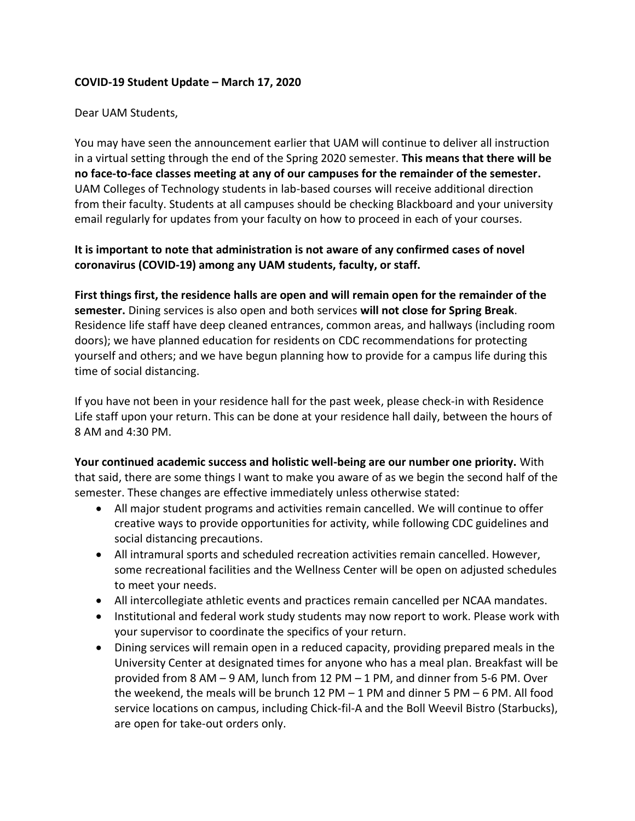### **COVID-19 Student Update – March 17, 2020**

### Dear UAM Students,

You may have seen the announcement earlier that UAM will continue to deliver all instruction in a virtual setting through the end of the Spring 2020 semester. **This means that there will be no face-to-face classes meeting at any of our campuses for the remainder of the semester.** UAM Colleges of Technology students in lab-based courses will receive additional direction from their faculty. Students at all campuses should be checking Blackboard and your university email regularly for updates from your faculty on how to proceed in each of your courses.

## **It is important to note that administration is not aware of any confirmed cases of novel coronavirus (COVID-19) among any UAM students, faculty, or staff.**

**First things first, the residence halls are open and will remain open for the remainder of the semester.** Dining services is also open and both services **will not close for Spring Break**. Residence life staff have deep cleaned entrances, common areas, and hallways (including room doors); we have planned education for residents on CDC recommendations for protecting yourself and others; and we have begun planning how to provide for a campus life during this time of social distancing.

If you have not been in your residence hall for the past week, please check-in with Residence Life staff upon your return. This can be done at your residence hall daily, between the hours of 8 AM and 4:30 PM.

## **Your continued academic success and holistic well-being are our number one priority.** With that said, there are some things I want to make you aware of as we begin the second half of the semester. These changes are effective immediately unless otherwise stated:

- All major student programs and activities remain cancelled. We will continue to offer creative ways to provide opportunities for activity, while following CDC guidelines and social distancing precautions.
- All intramural sports and scheduled recreation activities remain cancelled. However, some recreational facilities and the Wellness Center will be open on adjusted schedules to meet your needs.
- All intercollegiate athletic events and practices remain cancelled per NCAA mandates.
- Institutional and federal work study students may now report to work. Please work with your supervisor to coordinate the specifics of your return.
- Dining services will remain open in a reduced capacity, providing prepared meals in the University Center at designated times for anyone who has a meal plan. Breakfast will be provided from 8 AM – 9 AM, lunch from 12 PM – 1 PM, and dinner from 5-6 PM. Over the weekend, the meals will be brunch 12 PM – 1 PM and dinner 5 PM – 6 PM. All food service locations on campus, including Chick-fil-A and the Boll Weevil Bistro (Starbucks), are open for take-out orders only.